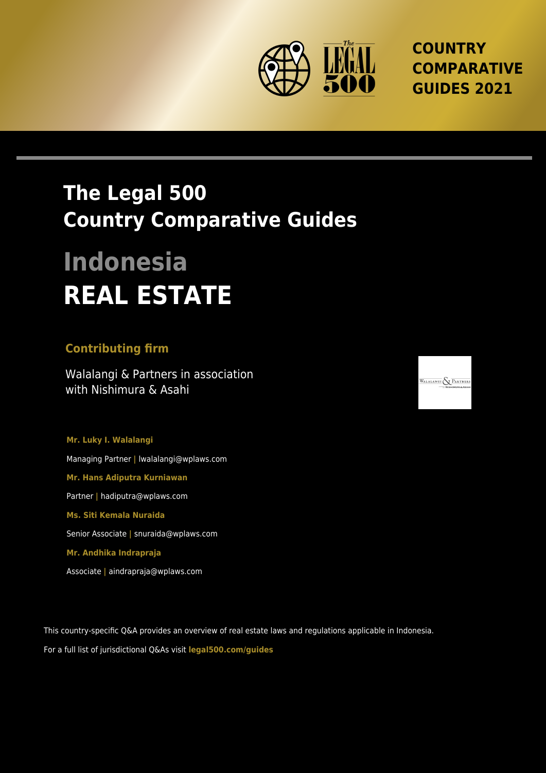

**COUNTRY COMPARATIVE GUIDES 2021**

## **The Legal 500 Country Comparative Guides**

# **Indonesia REAL ESTATE**

#### **Contributing firm**

Walalangi & Partners in association with Nishimura & Asahi

**Mr. Luky I. Walalangi** Managing Partner **|** lwalalangi@wplaws.com **Mr. Hans Adiputra Kurniawan** Partner **|** hadiputra@wplaws.com **Ms. Siti Kemala Nuraida** Senior Associate **|** snuraida@wplaws.com **Mr. Andhika Indrapraja** Associate **|** aindrapraja@wplaws.com

This country-specific Q&A provides an overview of real estate laws and regulations applicable in Indonesia.

For a full list of jurisdictional Q&As visit **[legal500.com/guides](https://www.legal500.com/guides/)**

WALALANGI & PARTNER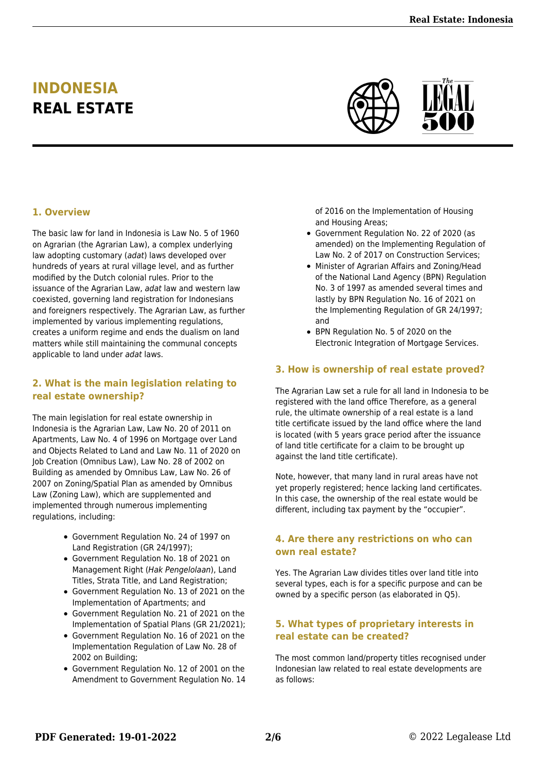### **INDONESIA REAL ESTATE**



#### **1. Overview**

The basic law for land in Indonesia is Law No. 5 of 1960 on Agrarian (the Agrarian Law), a complex underlying law adopting customary (adat) laws developed over hundreds of years at rural village level, and as further modified by the Dutch colonial rules. Prior to the issuance of the Agrarian Law, adat law and western law coexisted, governing land registration for Indonesians and foreigners respectively. The Agrarian Law, as further implemented by various implementing regulations, creates a uniform regime and ends the dualism on land matters while still maintaining the communal concepts applicable to land under adat laws.

#### **2. What is the main legislation relating to real estate ownership?**

The main legislation for real estate ownership in Indonesia is the Agrarian Law, Law No. 20 of 2011 on Apartments, Law No. 4 of 1996 on Mortgage over Land and Objects Related to Land and Law No. 11 of 2020 on Job Creation (Omnibus Law), Law No. 28 of 2002 on Building as amended by Omnibus Law, Law No. 26 of 2007 on Zoning/Spatial Plan as amended by Omnibus Law (Zoning Law), which are supplemented and implemented through numerous implementing regulations, including:

- Government Regulation No. 24 of 1997 on Land Registration (GR 24/1997);
- Government Regulation No. 18 of 2021 on Management Right (Hak Pengelolaan), Land Titles, Strata Title, and Land Registration;
- Government Regulation No. 13 of 2021 on the Implementation of Apartments; and
- Government Regulation No. 21 of 2021 on the Implementation of Spatial Plans (GR 21/2021);
- Government Regulation No. 16 of 2021 on the Implementation Regulation of Law No. 28 of 2002 on Building;
- Government Regulation No. 12 of 2001 on the Amendment to Government Regulation No. 14

of 2016 on the Implementation of Housing and Housing Areas;

- Government Regulation No. 22 of 2020 (as amended) on the Implementing Regulation of Law No. 2 of 2017 on Construction Services;
- Minister of Agrarian Affairs and Zoning/Head of the National Land Agency (BPN) Regulation No. 3 of 1997 as amended several times and lastly by BPN Regulation No. 16 of 2021 on the Implementing Regulation of GR 24/1997; and
- BPN Regulation No. 5 of 2020 on the Electronic Integration of Mortgage Services.

#### **3. How is ownership of real estate proved?**

The Agrarian Law set a rule for all land in Indonesia to be registered with the land office Therefore, as a general rule, the ultimate ownership of a real estate is a land title certificate issued by the land office where the land is located (with 5 years grace period after the issuance of land title certificate for a claim to be brought up against the land title certificate).

Note, however, that many land in rural areas have not yet properly registered; hence lacking land certificates. In this case, the ownership of the real estate would be different, including tax payment by the "occupier".

#### **4. Are there any restrictions on who can own real estate?**

Yes. The Agrarian Law divides titles over land title into several types, each is for a specific purpose and can be owned by a specific person (as elaborated in Q5).

#### **5. What types of proprietary interests in real estate can be created?**

The most common land/property titles recognised under Indonesian law related to real estate developments are as follows: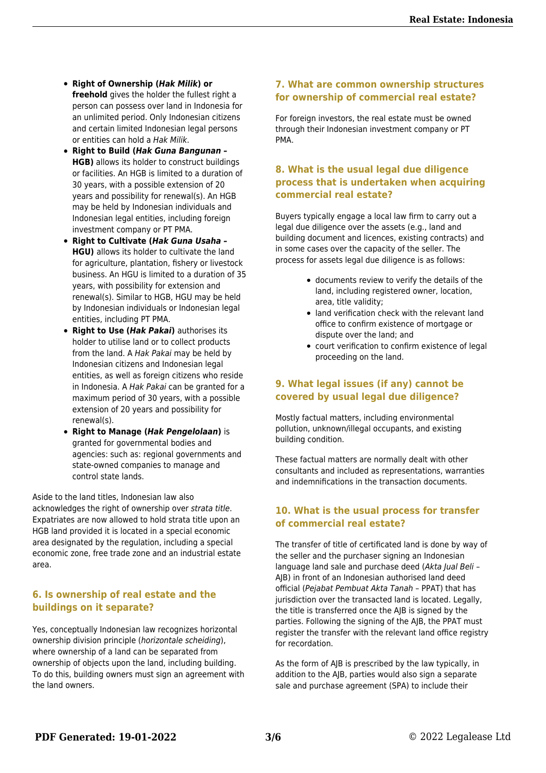- **Right of Ownership (***Hak Milik***) or freehold** gives the holder the fullest right a person can possess over land in Indonesia for an unlimited period. Only Indonesian citizens and certain limited Indonesian legal persons or entities can hold a Hak Milik.
- **Right to Build (***Hak Guna Bangunan –* **HGB)** allows its holder to construct buildings or facilities. An HGB is limited to a duration of 30 years, with a possible extension of 20 years and possibility for renewal(s). An HGB may be held by Indonesian individuals and Indonesian legal entities, including foreign investment company or PT PMA.
- **Right to Cultivate (***Hak Guna Usaha –* **HGU)** allows its holder to cultivate the land for agriculture, plantation, fishery or livestock business. An HGU is limited to a duration of 35 years, with possibility for extension and renewal(s). Similar to HGB, HGU may be held by Indonesian individuals or Indonesian legal entities, including PT PMA.
- **Right to Use (***Hak Pakai***)** authorises its holder to utilise land or to collect products from the land. A Hak Pakai may be held by Indonesian citizens and Indonesian legal entities, as well as foreign citizens who reside in Indonesia. A Hak Pakai can be granted for a maximum period of 30 years, with a possible extension of 20 years and possibility for renewal(s).
- **Right to Manage (***Hak Pengelolaan***)** is granted for governmental bodies and agencies: such as: regional governments and state-owned companies to manage and control state lands.

Aside to the land titles, Indonesian law also acknowledges the right of ownership over strata title. Expatriates are now allowed to hold strata title upon an HGB land provided it is located in a special economic area designated by the regulation, including a special economic zone, free trade zone and an industrial estate area.

#### **6. Is ownership of real estate and the buildings on it separate?**

Yes, conceptually Indonesian law recognizes horizontal ownership division principle (horizontale scheiding), where ownership of a land can be separated from ownership of objects upon the land, including building. To do this, building owners must sign an agreement with the land owners.

#### **7. What are common ownership structures for ownership of commercial real estate?**

For foreign investors, the real estate must be owned through their Indonesian investment company or PT PMA.

#### **8. What is the usual legal due diligence process that is undertaken when acquiring commercial real estate?**

Buyers typically engage a local law firm to carry out a legal due diligence over the assets (e.g., land and building document and licences, existing contracts) and in some cases over the capacity of the seller. The process for assets legal due diligence is as follows:

- documents review to verify the details of the land, including registered owner, location, area, title validity;
- land verification check with the relevant land office to confirm existence of mortgage or dispute over the land; and
- court verification to confirm existence of legal proceeding on the land.

#### **9. What legal issues (if any) cannot be covered by usual legal due diligence?**

Mostly factual matters, including environmental pollution, unknown/illegal occupants, and existing building condition.

These factual matters are normally dealt with other consultants and included as representations, warranties and indemnifications in the transaction documents.

#### **10. What is the usual process for transfer of commercial real estate?**

The transfer of title of certificated land is done by way of the seller and the purchaser signing an Indonesian language land sale and purchase deed (Akta Jual Beli – AJB) in front of an Indonesian authorised land deed official (Pejabat Pembuat Akta Tanah – PPAT) that has jurisdiction over the transacted land is located. Legally, the title is transferred once the AJB is signed by the parties. Following the signing of the AJB, the PPAT must register the transfer with the relevant land office registry for recordation.

As the form of AJB is prescribed by the law typically, in addition to the AJB, parties would also sign a separate sale and purchase agreement (SPA) to include their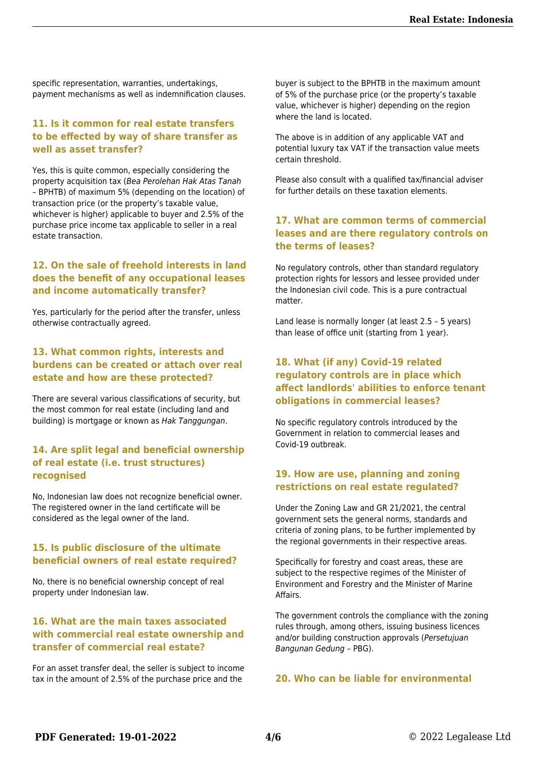specific representation, warranties, undertakings, payment mechanisms as well as indemnification clauses.

#### **11. Is it common for real estate transfers to be effected by way of share transfer as well as asset transfer?**

Yes, this is quite common, especially considering the property acquisition tax (Bea Perolehan Hak Atas Tanah – BPHTB) of maximum 5% (depending on the location) of transaction price (or the property's taxable value, whichever is higher) applicable to buyer and 2.5% of the purchase price income tax applicable to seller in a real estate transaction.

#### **12. On the sale of freehold interests in land does the benefit of any occupational leases and income automatically transfer?**

Yes, particularly for the period after the transfer, unless otherwise contractually agreed.

#### **13. What common rights, interests and burdens can be created or attach over real estate and how are these protected?**

There are several various classifications of security, but the most common for real estate (including land and building) is mortgage or known as Hak Tanggungan.

#### **14. Are split legal and beneficial ownership of real estate (i.e. trust structures) recognised**

No, Indonesian law does not recognize beneficial owner. The registered owner in the land certificate will be considered as the legal owner of the land.

#### **15. Is public disclosure of the ultimate beneficial owners of real estate required?**

No, there is no beneficial ownership concept of real property under Indonesian law.

#### **16. What are the main taxes associated with commercial real estate ownership and transfer of commercial real estate?**

For an asset transfer deal, the seller is subject to income tax in the amount of 2.5% of the purchase price and the

buyer is subject to the BPHTB in the maximum amount of 5% of the purchase price (or the property's taxable value, whichever is higher) depending on the region where the land is located.

The above is in addition of any applicable VAT and potential luxury tax VAT if the transaction value meets certain threshold.

Please also consult with a qualified tax/financial adviser for further details on these taxation elements.

#### **17. What are common terms of commercial leases and are there regulatory controls on the terms of leases?**

No regulatory controls, other than standard regulatory protection rights for lessors and lessee provided under the Indonesian civil code. This is a pure contractual matter.

Land lease is normally longer (at least 2.5 – 5 years) than lease of office unit (starting from 1 year).

#### **18. What (if any) Covid-19 related regulatory controls are in place which affect landlords' abilities to enforce tenant obligations in commercial leases?**

No specific regulatory controls introduced by the Government in relation to commercial leases and Covid-19 outbreak.

#### **19. How are use, planning and zoning restrictions on real estate regulated?**

Under the Zoning Law and GR 21/2021, the central government sets the general norms, standards and criteria of zoning plans, to be further implemented by the regional governments in their respective areas.

Specifically for forestry and coast areas, these are subject to the respective regimes of the Minister of Environment and Forestry and the Minister of Marine Affairs.

The government controls the compliance with the zoning rules through, among others, issuing business licences and/or building construction approvals (Persetujuan Bangunan Gedung – PBG).

#### **20. Who can be liable for environmental**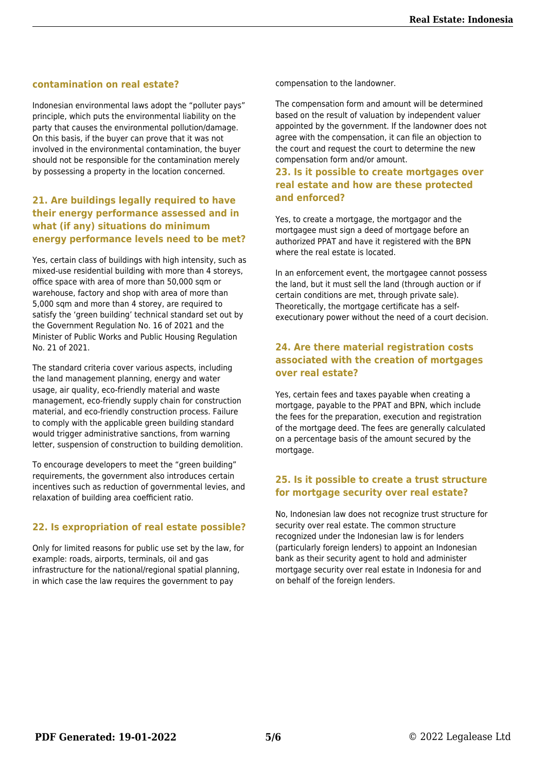#### **contamination on real estate?**

Indonesian environmental laws adopt the "polluter pays" principle, which puts the environmental liability on the party that causes the environmental pollution/damage. On this basis, if the buyer can prove that it was not involved in the environmental contamination, the buyer should not be responsible for the contamination merely by possessing a property in the location concerned.

#### **21. Are buildings legally required to have their energy performance assessed and in what (if any) situations do minimum energy performance levels need to be met?**

Yes, certain class of buildings with high intensity, such as mixed-use residential building with more than 4 storeys, office space with area of more than 50,000 sqm or warehouse, factory and shop with area of more than 5,000 sqm and more than 4 storey, are required to satisfy the 'green building' technical standard set out by the Government Regulation No. 16 of 2021 and the Minister of Public Works and Public Housing Regulation No. 21 of 2021.

The standard criteria cover various aspects, including the land management planning, energy and water usage, air quality, eco-friendly material and waste management, eco-friendly supply chain for construction material, and eco-friendly construction process. Failure to comply with the applicable green building standard would trigger administrative sanctions, from warning letter, suspension of construction to building demolition.

To encourage developers to meet the "green building" requirements, the government also introduces certain incentives such as reduction of governmental levies, and relaxation of building area coefficient ratio.

#### **22. Is expropriation of real estate possible?**

Only for limited reasons for public use set by the law, for example: roads, airports, terminals, oil and gas infrastructure for the national/regional spatial planning, in which case the law requires the government to pay

compensation to the landowner.

The compensation form and amount will be determined based on the result of valuation by independent valuer appointed by the government. If the landowner does not agree with the compensation, it can file an objection to the court and request the court to determine the new compensation form and/or amount.

#### **23. Is it possible to create mortgages over real estate and how are these protected and enforced?**

Yes, to create a mortgage, the mortgagor and the mortgagee must sign a deed of mortgage before an authorized PPAT and have it registered with the BPN where the real estate is located.

In an enforcement event, the mortgagee cannot possess the land, but it must sell the land (through auction or if certain conditions are met, through private sale). Theoretically, the mortgage certificate has a selfexecutionary power without the need of a court decision.

#### **24. Are there material registration costs associated with the creation of mortgages over real estate?**

Yes, certain fees and taxes payable when creating a mortgage, payable to the PPAT and BPN, which include the fees for the preparation, execution and registration of the mortgage deed. The fees are generally calculated on a percentage basis of the amount secured by the mortgage.

#### **25. Is it possible to create a trust structure for mortgage security over real estate?**

No, Indonesian law does not recognize trust structure for security over real estate. The common structure recognized under the Indonesian law is for lenders (particularly foreign lenders) to appoint an Indonesian bank as their security agent to hold and administer mortgage security over real estate in Indonesia for and on behalf of the foreign lenders.